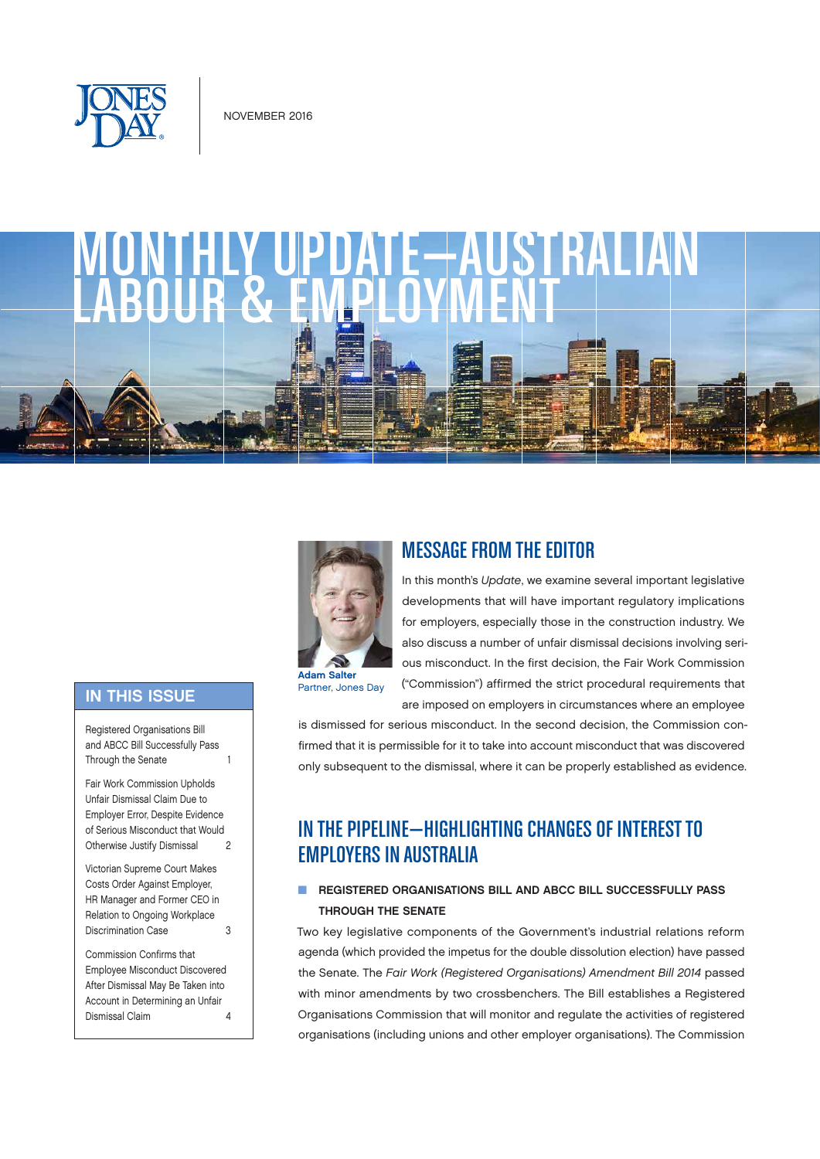



#### **IN THIS ISSUE**

Registered Organisations Bill and ABCC Bill Successfully Pass Through the Senate 1

[Fair Work Commission Upholds](#page-1-0)  [Unfair Dismissal Claim Due to](#page-1-0)  [Employer Error, Despite Evidence](#page-1-0)  [of Serious Misconduct that Would](#page-1-0)  [Otherwise Justify Dismissal 2](#page-1-0)

[Victorian Supreme Court Makes](#page-2-0)  [Costs Order Against Employer,](#page-2-0)  [HR Manager and Former CEO in](#page-2-0)  [Relation to Ongoing Workplace](#page-2-0)  [Discrimination Case](#page-2-0) 3

[Commission Confirms that](#page-3-0)  [Employee Misconduct Discovered](#page-3-0)  [After Dismissal May Be Taken into](#page-3-0)  [Account in Determining an Unfair](#page-3-0)  [Dismissal Claim](#page-3-0) 4



**Adam Salter**<br>Partner, Jones Day

### MESSAGE FROM THE EDITOR

In this month's *Update*, we examine several important legislative developments that will have important regulatory implications for employers, especially those in the construction industry. We also discuss a number of unfair dismissal decisions involving serious misconduct. In the first decision, the Fair Work Commission ("Commission") affirmed the strict procedural requirements that are imposed on employers in circumstances where an employee

is dismissed for serious misconduct. In the second decision, the Commission confirmed that it is permissible for it to take into account misconduct that was discovered only subsequent to the dismissal, where it can be properly established as evidence.

# IN THE PIPELINE—HIGHLIGHTING CHANGES OF INTEREST TO EMPLOYERS IN AUSTRALIA

#### **N REGISTERED ORGANISATIONS BILL AND ABCC BILL SUCCESSFULLY PASS** THROUGH THE SENATE

Two key legislative components of the Government's industrial relations reform agenda (which provided the impetus for the double dissolution election) have passed the Senate. The *Fair Work (Registered Organisations) Amendment Bill 2014* passed with minor amendments by two crossbenchers. The Bill establishes a Registered Organisations Commission that will monitor and regulate the activities of registered organisations (including unions and other employer organisations). The Commission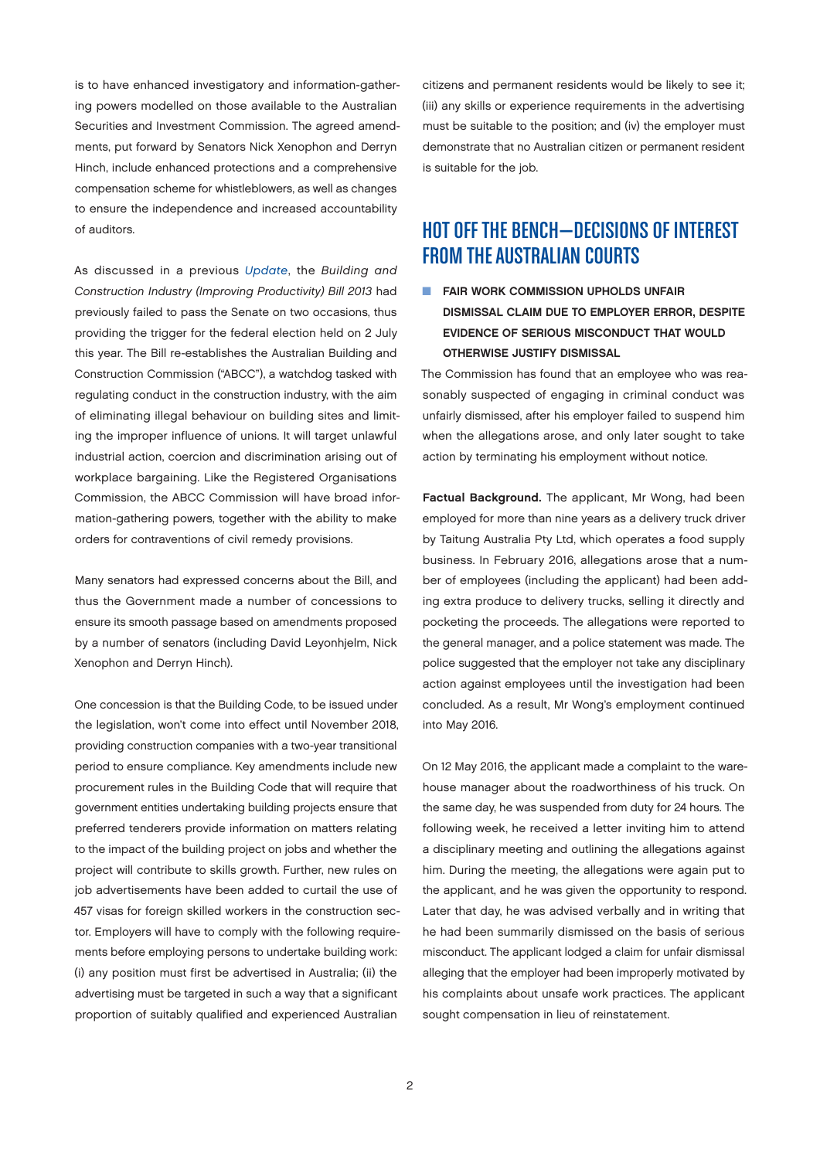<span id="page-1-0"></span>is to have enhanced investigatory and information-gathering powers modelled on those available to the Australian Securities and Investment Commission. The agreed amendments, put forward by Senators Nick Xenophon and Derryn Hinch, include enhanced protections and a comprehensive compensation scheme for whistleblowers, as well as changes to ensure the independence and increased accountability of auditors.

As discussed in a previous *[Update](https://onefirm.jonesday.net/News/Lists/Attachments/Australian%20L-E%20April%202016.pdf)*, the *Building and Construction Industry (Improving Productivity) Bill 2013* had previously failed to pass the Senate on two occasions, thus providing the trigger for the federal election held on 2 July this year. The Bill re-establishes the Australian Building and Construction Commission ("ABCC"), a watchdog tasked with regulating conduct in the construction industry, with the aim of eliminating illegal behaviour on building sites and limiting the improper influence of unions. It will target unlawful industrial action, coercion and discrimination arising out of workplace bargaining. Like the Registered Organisations Commission, the ABCC Commission will have broad information-gathering powers, together with the ability to make orders for contraventions of civil remedy provisions.

Many senators had expressed concerns about the Bill, and thus the Government made a number of concessions to ensure its smooth passage based on amendments proposed by a number of senators (including David Leyonhjelm, Nick Xenophon and Derryn Hinch).

One concession is that the Building Code, to be issued under the legislation, won't come into effect until November 2018, providing construction companies with a two-year transitional period to ensure compliance. Key amendments include new procurement rules in the Building Code that will require that government entities undertaking building projects ensure that preferred tenderers provide information on matters relating to the impact of the building project on jobs and whether the project will contribute to skills growth. Further, new rules on job advertisements have been added to curtail the use of 457 visas for foreign skilled workers in the construction sector. Employers will have to comply with the following requirements before employing persons to undertake building work: (i) any position must first be advertised in Australia; (ii) the advertising must be targeted in such a way that a significant proportion of suitably qualified and experienced Australian

citizens and permanent residents would be likely to see it; (iii) any skills or experience requirements in the advertising must be suitable to the position; and (iv) the employer must demonstrate that no Australian citizen or permanent resident is suitable for the job.

### HOT OFF THE BENCH—DECISIONS OF INTEREST FROM THE AUSTRALIAN COURTS

**N FAIR WORK COMMISSION UPHOLDS UNFAIR** DISMISSAL CLAIM DUE TO EMPLOYER ERROR, DESPITE EVIDENCE OF SERIOUS MISCONDUCT THAT WOULD OTHERWISE JUSTIFY DISMISSAL

The Commission has found that an employee who was reasonably suspected of engaging in criminal conduct was unfairly dismissed, after his employer failed to suspend him when the allegations arose, and only later sought to take action by terminating his employment without notice.

Factual Background. The applicant, Mr Wong, had been employed for more than nine years as a delivery truck driver by Taitung Australia Pty Ltd, which operates a food supply business. In February 2016, allegations arose that a number of employees (including the applicant) had been adding extra produce to delivery trucks, selling it directly and pocketing the proceeds. The allegations were reported to the general manager, and a police statement was made. The police suggested that the employer not take any disciplinary action against employees until the investigation had been concluded. As a result, Mr Wong's employment continued into May 2016.

On 12 May 2016, the applicant made a complaint to the warehouse manager about the roadworthiness of his truck. On the same day, he was suspended from duty for 24 hours. The following week, he received a letter inviting him to attend a disciplinary meeting and outlining the allegations against him. During the meeting, the allegations were again put to the applicant, and he was given the opportunity to respond. Later that day, he was advised verbally and in writing that he had been summarily dismissed on the basis of serious misconduct. The applicant lodged a claim for unfair dismissal alleging that the employer had been improperly motivated by his complaints about unsafe work practices. The applicant sought compensation in lieu of reinstatement.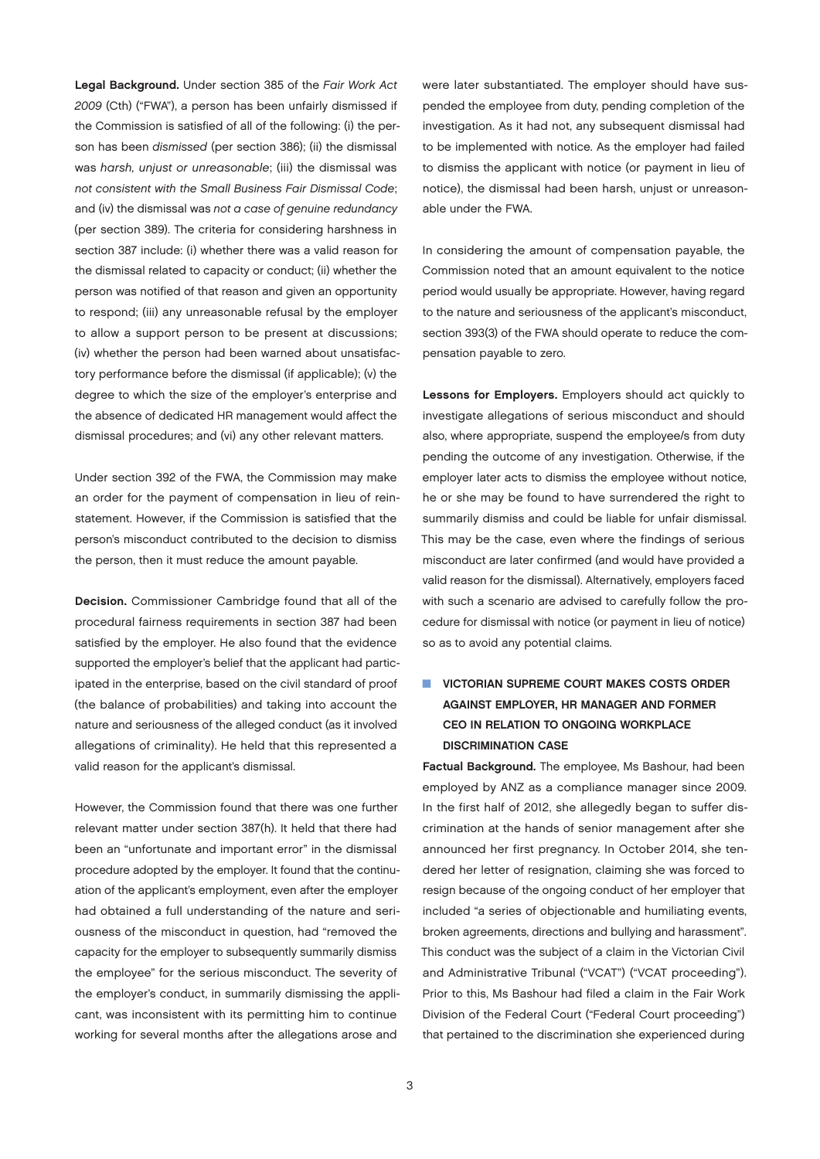<span id="page-2-0"></span>Legal Background. Under section 385 of the *Fair Work Act 2009* (Cth) ("FWA"), a person has been unfairly dismissed if the Commission is satisfied of all of the following: (i) the person has been *dismissed* (per section 386); (ii) the dismissal was *harsh, unjust or unreasonable*; (iii) the dismissal was *not consistent with the Small Business Fair Dismissal Code*; and (iv) the dismissal was *not a case of genuine redundancy* (per section 389). The criteria for considering harshness in section 387 include: (i) whether there was a valid reason for the dismissal related to capacity or conduct; (ii) whether the person was notified of that reason and given an opportunity to respond; (iii) any unreasonable refusal by the employer to allow a support person to be present at discussions; (iv) whether the person had been warned about unsatisfactory performance before the dismissal (if applicable); (v) the degree to which the size of the employer's enterprise and the absence of dedicated HR management would affect the dismissal procedures; and (vi) any other relevant matters.

Under section 392 of the FWA, the Commission may make an order for the payment of compensation in lieu of reinstatement. However, if the Commission is satisfied that the person's misconduct contributed to the decision to dismiss the person, then it must reduce the amount payable.

Decision. Commissioner Cambridge found that all of the procedural fairness requirements in section 387 had been satisfied by the employer. He also found that the evidence supported the employer's belief that the applicant had participated in the enterprise, based on the civil standard of proof (the balance of probabilities) and taking into account the nature and seriousness of the alleged conduct (as it involved allegations of criminality). He held that this represented a valid reason for the applicant's dismissal.

However, the Commission found that there was one further relevant matter under section 387(h). It held that there had been an "unfortunate and important error" in the dismissal procedure adopted by the employer. It found that the continuation of the applicant's employment, even after the employer had obtained a full understanding of the nature and seriousness of the misconduct in question, had "removed the capacity for the employer to subsequently summarily dismiss the employee" for the serious misconduct. The severity of the employer's conduct, in summarily dismissing the applicant, was inconsistent with its permitting him to continue working for several months after the allegations arose and

were later substantiated. The employer should have suspended the employee from duty, pending completion of the investigation. As it had not, any subsequent dismissal had to be implemented with notice. As the employer had failed to dismiss the applicant with notice (or payment in lieu of notice), the dismissal had been harsh, unjust or unreasonable under the FWA.

In considering the amount of compensation payable, the Commission noted that an amount equivalent to the notice period would usually be appropriate. However, having regard to the nature and seriousness of the applicant's misconduct, section 393(3) of the FWA should operate to reduce the compensation payable to zero.

Lessons for Employers. Employers should act quickly to investigate allegations of serious misconduct and should also, where appropriate, suspend the employee/s from duty pending the outcome of any investigation. Otherwise, if the employer later acts to dismiss the employee without notice, he or she may be found to have surrendered the right to summarily dismiss and could be liable for unfair dismissal. This may be the case, even where the findings of serious misconduct are later confirmed (and would have provided a valid reason for the dismissal). Alternatively, employers faced with such a scenario are advised to carefully follow the procedure for dismissal with notice (or payment in lieu of notice) so as to avoid any potential claims.

#### **N VICTORIAN SUPREME COURT MAKES COSTS ORDER** AGAINST EMPLOYER, HR MANAGER AND FORMER CEO IN RELATION TO ONGOING WORKPLACE DISCRIMINATION CASE

Factual Background. The employee, Ms Bashour, had been employed by ANZ as a compliance manager since 2009. In the first half of 2012, she allegedly began to suffer discrimination at the hands of senior management after she announced her first pregnancy. In October 2014, she tendered her letter of resignation, claiming she was forced to resign because of the ongoing conduct of her employer that included "a series of objectionable and humiliating events, broken agreements, directions and bullying and harassment". This conduct was the subject of a claim in the Victorian Civil and Administrative Tribunal ("VCAT") ("VCAT proceeding"). Prior to this, Ms Bashour had filed a claim in the Fair Work Division of the Federal Court ("Federal Court proceeding") that pertained to the discrimination she experienced during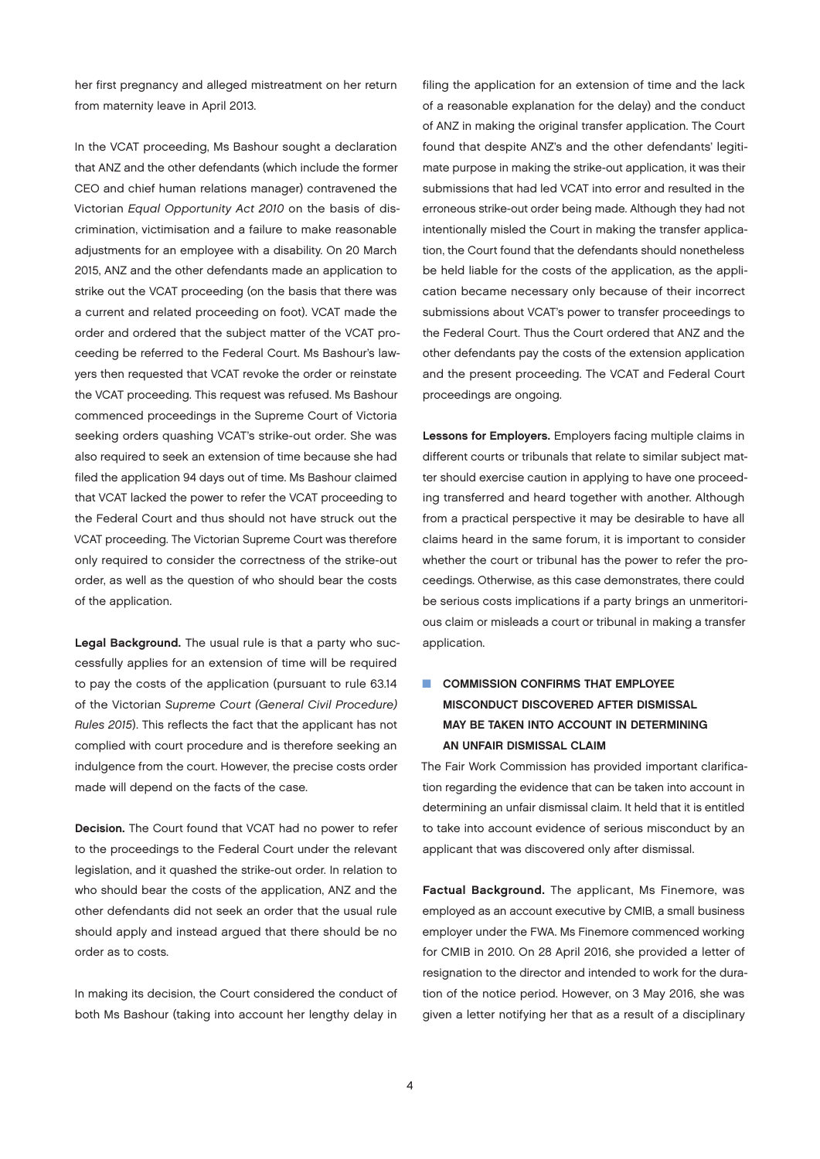<span id="page-3-0"></span>her first pregnancy and alleged mistreatment on her return from maternity leave in April 2013.

In the VCAT proceeding, Ms Bashour sought a declaration that ANZ and the other defendants (which include the former CEO and chief human relations manager) contravened the Victorian *Equal Opportunity Act 2010* on the basis of discrimination, victimisation and a failure to make reasonable adjustments for an employee with a disability. On 20 March 2015, ANZ and the other defendants made an application to strike out the VCAT proceeding (on the basis that there was a current and related proceeding on foot). VCAT made the order and ordered that the subject matter of the VCAT proceeding be referred to the Federal Court. Ms Bashour's lawyers then requested that VCAT revoke the order or reinstate the VCAT proceeding. This request was refused. Ms Bashour commenced proceedings in the Supreme Court of Victoria seeking orders quashing VCAT's strike-out order. She was also required to seek an extension of time because she had filed the application 94 days out of time. Ms Bashour claimed that VCAT lacked the power to refer the VCAT proceeding to the Federal Court and thus should not have struck out the VCAT proceeding. The Victorian Supreme Court was therefore only required to consider the correctness of the strike-out order, as well as the question of who should bear the costs of the application.

Legal Background. The usual rule is that a party who successfully applies for an extension of time will be required to pay the costs of the application (pursuant to rule 63.14 of the Victorian *Supreme Court (General Civil Procedure) Rules 2015*). This reflects the fact that the applicant has not complied with court procedure and is therefore seeking an indulgence from the court. However, the precise costs order made will depend on the facts of the case.

Decision. The Court found that VCAT had no power to refer to the proceedings to the Federal Court under the relevant legislation, and it quashed the strike-out order. In relation to who should bear the costs of the application, ANZ and the other defendants did not seek an order that the usual rule should apply and instead argued that there should be no order as to costs.

In making its decision, the Court considered the conduct of both Ms Bashour (taking into account her lengthy delay in

filing the application for an extension of time and the lack of a reasonable explanation for the delay) and the conduct of ANZ in making the original transfer application. The Court found that despite ANZ's and the other defendants' legitimate purpose in making the strike-out application, it was their submissions that had led VCAT into error and resulted in the erroneous strike-out order being made. Although they had not intentionally misled the Court in making the transfer application, the Court found that the defendants should nonetheless be held liable for the costs of the application, as the application became necessary only because of their incorrect submissions about VCAT's power to transfer proceedings to the Federal Court. Thus the Court ordered that ANZ and the other defendants pay the costs of the extension application and the present proceeding. The VCAT and Federal Court proceedings are ongoing.

Lessons for Employers. Employers facing multiple claims in different courts or tribunals that relate to similar subject matter should exercise caution in applying to have one proceeding transferred and heard together with another. Although from a practical perspective it may be desirable to have all claims heard in the same forum, it is important to consider whether the court or tribunal has the power to refer the proceedings. Otherwise, as this case demonstrates, there could be serious costs implications if a party brings an unmeritorious claim or misleads a court or tribunal in making a transfer application.

#### **N COMMISSION CONFIRMS THAT EMPLOYEE** MISCONDUCT DISCOVERED AFTER DISMISSAL MAY BE TAKEN INTO ACCOUNT IN DETERMINING AN UNFAIR DISMISSAL CLAIM

The Fair Work Commission has provided important clarification regarding the evidence that can be taken into account in determining an unfair dismissal claim. It held that it is entitled to take into account evidence of serious misconduct by an applicant that was discovered only after dismissal.

Factual Background. The applicant, Ms Finemore, was employed as an account executive by CMIB, a small business employer under the FWA. Ms Finemore commenced working for CMIB in 2010. On 28 April 2016, she provided a letter of resignation to the director and intended to work for the duration of the notice period. However, on 3 May 2016, she was given a letter notifying her that as a result of a disciplinary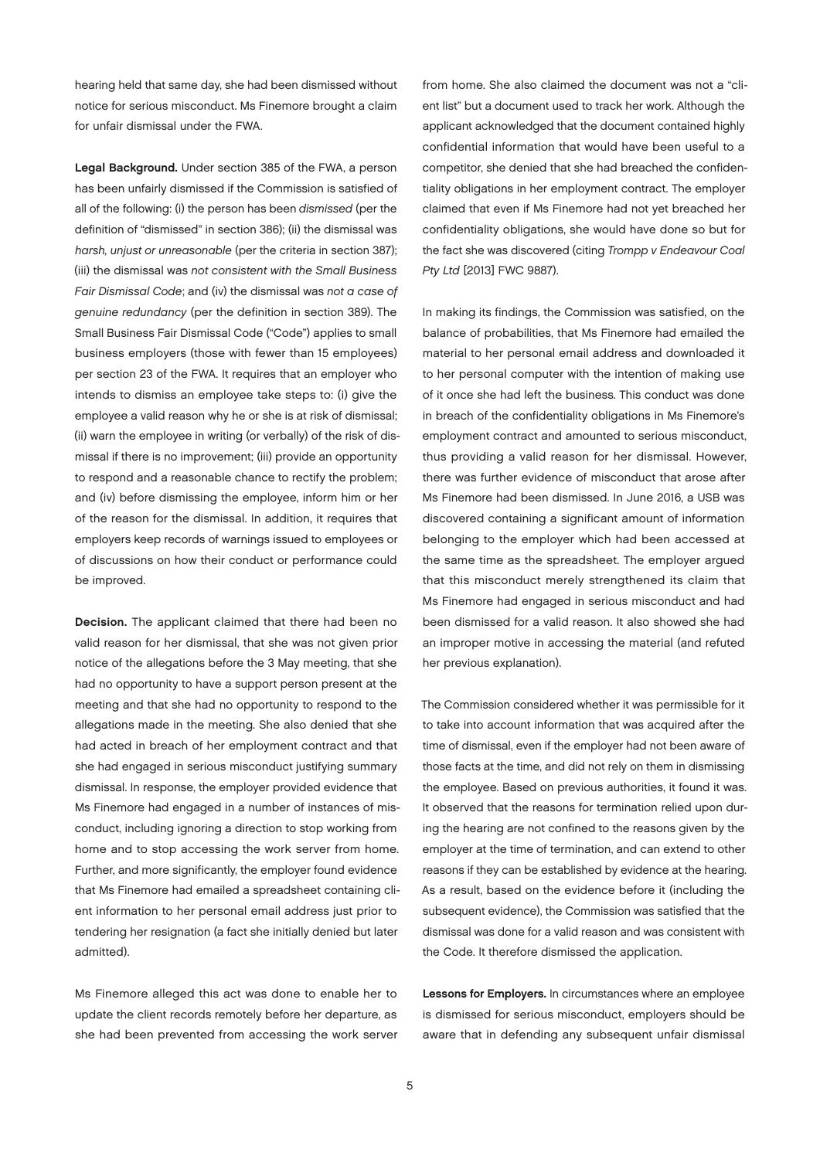hearing held that same day, she had been dismissed without notice for serious misconduct. Ms Finemore brought a claim for unfair dismissal under the FWA.

Legal Background. Under section 385 of the FWA, a person has been unfairly dismissed if the Commission is satisfied of all of the following: (i) the person has been *dismissed* (per the definition of "dismissed" in section 386); (ii) the dismissal was *harsh, unjust or unreasonable* (per the criteria in section 387); (iii) the dismissal was *not consistent with the Small Business Fair Dismissal Code*; and (iv) the dismissal was *not a case of genuine redundancy* (per the definition in section 389). The Small Business Fair Dismissal Code ("Code") applies to small business employers (those with fewer than 15 employees) per section 23 of the FWA. It requires that an employer who intends to dismiss an employee take steps to: (i) give the employee a valid reason why he or she is at risk of dismissal; (ii) warn the employee in writing (or verbally) of the risk of dismissal if there is no improvement; (iii) provide an opportunity to respond and a reasonable chance to rectify the problem; and (iv) before dismissing the employee, inform him or her of the reason for the dismissal. In addition, it requires that employers keep records of warnings issued to employees or of discussions on how their conduct or performance could be improved.

Decision. The applicant claimed that there had been no valid reason for her dismissal, that she was not given prior notice of the allegations before the 3 May meeting, that she had no opportunity to have a support person present at the meeting and that she had no opportunity to respond to the allegations made in the meeting. She also denied that she had acted in breach of her employment contract and that she had engaged in serious misconduct justifying summary dismissal. In response, the employer provided evidence that Ms Finemore had engaged in a number of instances of misconduct, including ignoring a direction to stop working from home and to stop accessing the work server from home. Further, and more significantly, the employer found evidence that Ms Finemore had emailed a spreadsheet containing client information to her personal email address just prior to tendering her resignation (a fact she initially denied but later admitted).

Ms Finemore alleged this act was done to enable her to update the client records remotely before her departure, as she had been prevented from accessing the work server

from home. She also claimed the document was not a "client list" but a document used to track her work. Although the applicant acknowledged that the document contained highly confidential information that would have been useful to a competitor, she denied that she had breached the confidentiality obligations in her employment contract. The employer claimed that even if Ms Finemore had not yet breached her confidentiality obligations, she would have done so but for the fact she was discovered (citing *Trompp v Endeavour Coal Pty Ltd* [2013] FWC 9887).

In making its findings, the Commission was satisfied, on the balance of probabilities, that Ms Finemore had emailed the material to her personal email address and downloaded it to her personal computer with the intention of making use of it once she had left the business. This conduct was done in breach of the confidentiality obligations in Ms Finemore's employment contract and amounted to serious misconduct, thus providing a valid reason for her dismissal. However, there was further evidence of misconduct that arose after Ms Finemore had been dismissed. In June 2016, a USB was discovered containing a significant amount of information belonging to the employer which had been accessed at the same time as the spreadsheet. The employer argued that this misconduct merely strengthened its claim that Ms Finemore had engaged in serious misconduct and had been dismissed for a valid reason. It also showed she had an improper motive in accessing the material (and refuted her previous explanation).

The Commission considered whether it was permissible for it to take into account information that was acquired after the time of dismissal, even if the employer had not been aware of those facts at the time, and did not rely on them in dismissing the employee. Based on previous authorities, it found it was. It observed that the reasons for termination relied upon during the hearing are not confined to the reasons given by the employer at the time of termination, and can extend to other reasons if they can be established by evidence at the hearing. As a result, based on the evidence before it (including the subsequent evidence), the Commission was satisfied that the dismissal was done for a valid reason and was consistent with the Code. It therefore dismissed the application.

Lessons for Employers. In circumstances where an employee is dismissed for serious misconduct, employers should be aware that in defending any subsequent unfair dismissal